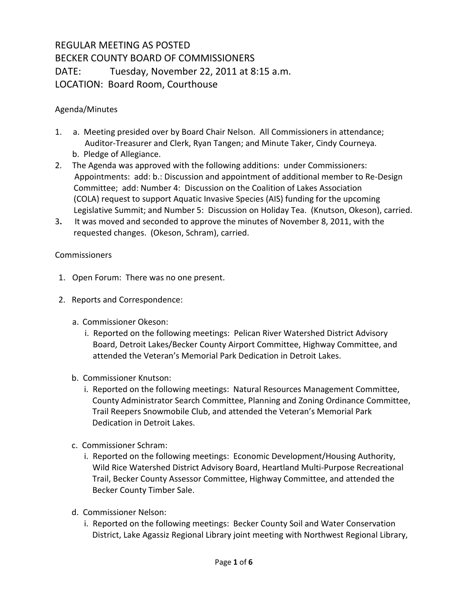## REGULAR MEETING AS POSTED BECKER COUNTY BOARD OF COMMISSIONERS DATE: Tuesday, November 22, 2011 at 8:15 a.m. LOCATION: Board Room, Courthouse

## Agenda/Minutes

- 1. a. Meeting presided over by Board Chair Nelson. All Commissioners in attendance; Auditor-Treasurer and Clerk, Ryan Tangen; and Minute Taker, Cindy Courneya. b. Pledge of Allegiance.
- 2. The Agenda was approved with the following additions: under Commissioners: Appointments: add: b.: Discussion and appointment of additional member to Re-Design Committee; add: Number 4: Discussion on the Coalition of Lakes Association (COLA) request to support Aquatic Invasive Species (AIS) funding for the upcoming Legislative Summit; and Number 5: Discussion on Holiday Tea. (Knutson, Okeson), carried.
- 3**.** It was moved and seconded to approve the minutes of November 8, 2011, with the requested changes. (Okeson, Schram), carried.

## **Commissioners**

- 1. Open Forum: There was no one present.
- 2. Reports and Correspondence:
	- a. Commissioner Okeson:
		- i. Reported on the following meetings: Pelican River Watershed District Advisory Board, Detroit Lakes/Becker County Airport Committee, Highway Committee, and attended the Veteran's Memorial Park Dedication in Detroit Lakes.
	- b. Commissioner Knutson:
		- i. Reported on the following meetings: Natural Resources Management Committee, County Administrator Search Committee, Planning and Zoning Ordinance Committee, Trail Reepers Snowmobile Club, and attended the Veteran's Memorial Park Dedication in Detroit Lakes.
	- c. Commissioner Schram:
		- i. Reported on the following meetings: Economic Development/Housing Authority, Wild Rice Watershed District Advisory Board, Heartland Multi-Purpose Recreational Trail, Becker County Assessor Committee, Highway Committee, and attended the Becker County Timber Sale.
	- d. Commissioner Nelson:
		- i. Reported on the following meetings: Becker County Soil and Water Conservation District, Lake Agassiz Regional Library joint meeting with Northwest Regional Library,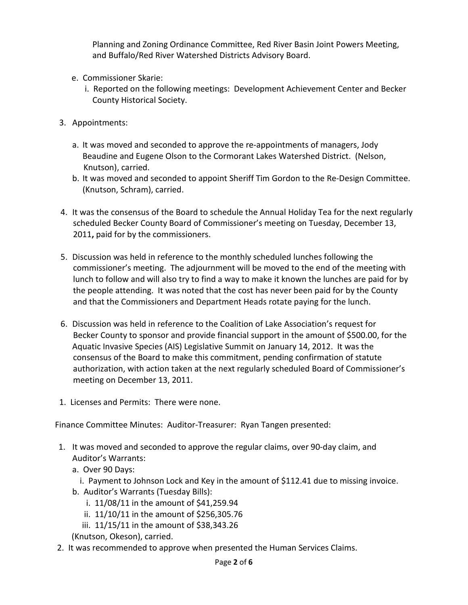Planning and Zoning Ordinance Committee, Red River Basin Joint Powers Meeting, and Buffalo/Red River Watershed Districts Advisory Board.

- e. Commissioner Skarie:
	- i. Reported on the following meetings: Development Achievement Center and Becker County Historical Society.
- 3. Appointments:
	- a. It was moved and seconded to approve the re-appointments of managers, Jody Beaudine and Eugene Olson to the Cormorant Lakes Watershed District. (Nelson, Knutson), carried.
	- b. It was moved and seconded to appoint Sheriff Tim Gordon to the Re-Design Committee. (Knutson, Schram), carried.
- 4. It was the consensus of the Board to schedule the Annual Holiday Tea for the next regularly scheduled Becker County Board of Commissioner's meeting on Tuesday, December 13, 2011**,** paid for by the commissioners.
- 5. Discussion was held in reference to the monthly scheduled lunches following the commissioner's meeting. The adjournment will be moved to the end of the meeting with lunch to follow and will also try to find a way to make it known the lunches are paid for by the people attending. It was noted that the cost has never been paid for by the County and that the Commissioners and Department Heads rotate paying for the lunch.
- 6. Discussion was held in reference to the Coalition of Lake Association's request for Becker County to sponsor and provide financial support in the amount of \$500.00, for the Aquatic Invasive Species (AIS) Legislative Summit on January 14, 2012. It was the consensus of the Board to make this commitment, pending confirmation of statute authorization, with action taken at the next regularly scheduled Board of Commissioner's meeting on December 13, 2011.
- 1. Licenses and Permits: There were none.

Finance Committee Minutes: Auditor-Treasurer: Ryan Tangen presented:

- 1. It was moved and seconded to approve the regular claims, over 90-day claim, and Auditor's Warrants:
	- a. Over 90 Days:
		- i. Payment to Johnson Lock and Key in the amount of \$112.41 due to missing invoice.
	- b. Auditor's Warrants (Tuesday Bills):
		- i. 11/08/11 in the amount of \$41,259.94
		- ii. 11/10/11 in the amount of \$256,305.76
		- iii. 11/15/11 in the amount of \$38,343.26

(Knutson, Okeson), carried.

2. It was recommended to approve when presented the Human Services Claims.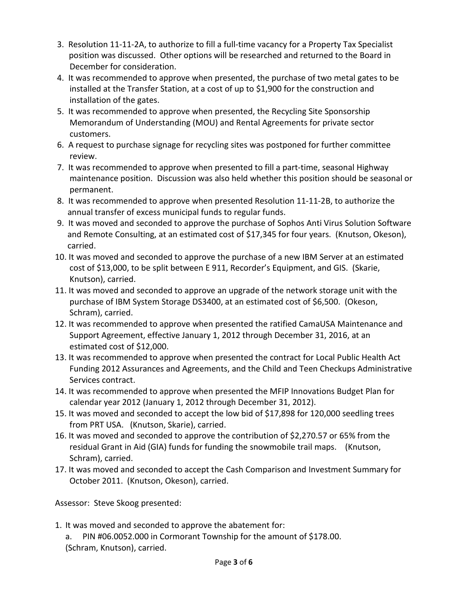- 3. Resolution 11-11-2A, to authorize to fill a full-time vacancy for a Property Tax Specialist position was discussed. Other options will be researched and returned to the Board in December for consideration.
- 4. It was recommended to approve when presented, the purchase of two metal gates to be installed at the Transfer Station, at a cost of up to \$1,900 for the construction and installation of the gates.
- 5. It was recommended to approve when presented, the Recycling Site Sponsorship Memorandum of Understanding (MOU) and Rental Agreements for private sector customers.
- 6. A request to purchase signage for recycling sites was postponed for further committee review.
- 7. It was recommended to approve when presented to fill a part-time, seasonal Highway maintenance position. Discussion was also held whether this position should be seasonal or permanent.
- 8. It was recommended to approve when presented Resolution 11-11-2B, to authorize the annual transfer of excess municipal funds to regular funds.
- 9. It was moved and seconded to approve the purchase of Sophos Anti Virus Solution Software and Remote Consulting, at an estimated cost of \$17,345 for four years. (Knutson, Okeson), carried.
- 10. It was moved and seconded to approve the purchase of a new IBM Server at an estimated cost of \$13,000, to be split between E 911, Recorder's Equipment, and GIS. (Skarie, Knutson), carried.
- 11. It was moved and seconded to approve an upgrade of the network storage unit with the purchase of IBM System Storage DS3400, at an estimated cost of \$6,500. (Okeson, Schram), carried.
- 12. It was recommended to approve when presented the ratified CamaUSA Maintenance and Support Agreement, effective January 1, 2012 through December 31, 2016, at an estimated cost of \$12,000.
- 13. It was recommended to approve when presented the contract for Local Public Health Act Funding 2012 Assurances and Agreements, and the Child and Teen Checkups Administrative Services contract.
- 14. It was recommended to approve when presented the MFIP Innovations Budget Plan for calendar year 2012 (January 1, 2012 through December 31, 2012).
- 15. It was moved and seconded to accept the low bid of \$17,898 for 120,000 seedling trees from PRT USA. (Knutson, Skarie), carried.
- 16. It was moved and seconded to approve the contribution of \$2,270.57 or 65% from the residual Grant in Aid (GIA) funds for funding the snowmobile trail maps. (Knutson, Schram), carried.
- 17. It was moved and seconded to accept the Cash Comparison and Investment Summary for October 2011. (Knutson, Okeson), carried.

Assessor: Steve Skoog presented:

- 1. It was moved and seconded to approve the abatement for:
	- a. PIN #06.0052.000 in Cormorant Township for the amount of \$178.00. (Schram, Knutson), carried.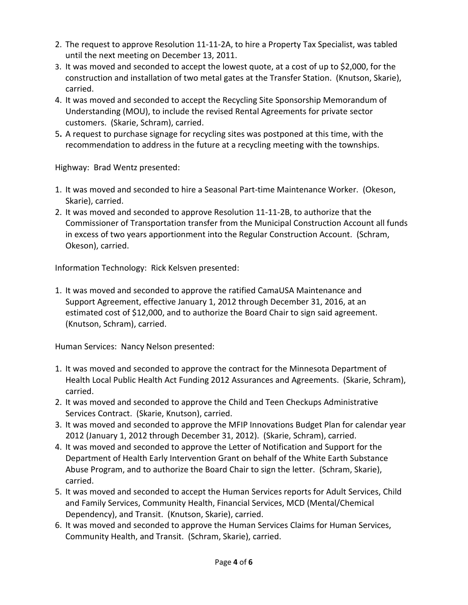- 2. The request to approve Resolution 11-11-2A, to hire a Property Tax Specialist, was tabled until the next meeting on December 13, 2011.
- 3. It was moved and seconded to accept the lowest quote, at a cost of up to \$2,000, for the construction and installation of two metal gates at the Transfer Station. (Knutson, Skarie), carried.
- 4. It was moved and seconded to accept the Recycling Site Sponsorship Memorandum of Understanding (MOU), to include the revised Rental Agreements for private sector customers. (Skarie, Schram), carried.
- 5**.** A request to purchase signage for recycling sites was postponed at this time, with the recommendation to address in the future at a recycling meeting with the townships.

Highway: Brad Wentz presented:

- 1. It was moved and seconded to hire a Seasonal Part-time Maintenance Worker. (Okeson, Skarie), carried.
- 2. It was moved and seconded to approve Resolution 11-11-2B, to authorize that the Commissioner of Transportation transfer from the Municipal Construction Account all funds in excess of two years apportionment into the Regular Construction Account. (Schram, Okeson), carried.

Information Technology: Rick Kelsven presented:

1. It was moved and seconded to approve the ratified CamaUSA Maintenance and Support Agreement, effective January 1, 2012 through December 31, 2016, at an estimated cost of \$12,000, and to authorize the Board Chair to sign said agreement. (Knutson, Schram), carried.

Human Services: Nancy Nelson presented:

- 1. It was moved and seconded to approve the contract for the Minnesota Department of Health Local Public Health Act Funding 2012 Assurances and Agreements. (Skarie, Schram), carried.
- 2. It was moved and seconded to approve the Child and Teen Checkups Administrative Services Contract. (Skarie, Knutson), carried.
- 3. It was moved and seconded to approve the MFIP Innovations Budget Plan for calendar year 2012 (January 1, 2012 through December 31, 2012). (Skarie, Schram), carried.
- 4. It was moved and seconded to approve the Letter of Notification and Support for the Department of Health Early Intervention Grant on behalf of the White Earth Substance Abuse Program, and to authorize the Board Chair to sign the letter. (Schram, Skarie), carried.
- 5. It was moved and seconded to accept the Human Services reports for Adult Services, Child and Family Services, Community Health, Financial Services, MCD (Mental/Chemical Dependency), and Transit. (Knutson, Skarie), carried.
- 6. It was moved and seconded to approve the Human Services Claims for Human Services, Community Health, and Transit. (Schram, Skarie), carried.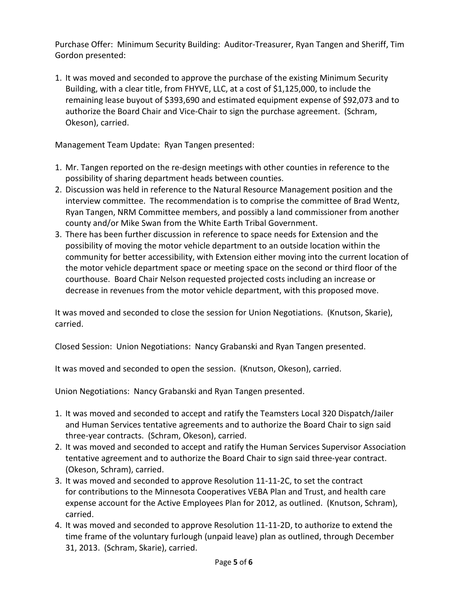Purchase Offer: Minimum Security Building: Auditor-Treasurer, Ryan Tangen and Sheriff, Tim Gordon presented:

1. It was moved and seconded to approve the purchase of the existing Minimum Security Building, with a clear title, from FHYVE, LLC, at a cost of \$1,125,000, to include the remaining lease buyout of \$393,690 and estimated equipment expense of \$92,073 and to authorize the Board Chair and Vice-Chair to sign the purchase agreement. (Schram, Okeson), carried.

Management Team Update: Ryan Tangen presented:

- 1. Mr. Tangen reported on the re-design meetings with other counties in reference to the possibility of sharing department heads between counties.
- 2. Discussion was held in reference to the Natural Resource Management position and the interview committee. The recommendation is to comprise the committee of Brad Wentz, Ryan Tangen, NRM Committee members, and possibly a land commissioner from another county and/or Mike Swan from the White Earth Tribal Government.
- 3. There has been further discussion in reference to space needs for Extension and the possibility of moving the motor vehicle department to an outside location within the community for better accessibility, with Extension either moving into the current location of the motor vehicle department space or meeting space on the second or third floor of the courthouse. Board Chair Nelson requested projected costs including an increase or decrease in revenues from the motor vehicle department, with this proposed move.

It was moved and seconded to close the session for Union Negotiations. (Knutson, Skarie), carried.

Closed Session: Union Negotiations: Nancy Grabanski and Ryan Tangen presented.

It was moved and seconded to open the session. (Knutson, Okeson), carried.

Union Negotiations: Nancy Grabanski and Ryan Tangen presented.

- 1. It was moved and seconded to accept and ratify the Teamsters Local 320 Dispatch/Jailer and Human Services tentative agreements and to authorize the Board Chair to sign said three-year contracts. (Schram, Okeson), carried.
- 2. It was moved and seconded to accept and ratify the Human Services Supervisor Association tentative agreement and to authorize the Board Chair to sign said three-year contract. (Okeson, Schram), carried.
- 3. It was moved and seconded to approve Resolution 11-11-2C, to set the contract for contributions to the Minnesota Cooperatives VEBA Plan and Trust, and health care expense account for the Active Employees Plan for 2012, as outlined. (Knutson, Schram), carried.
- 4. It was moved and seconded to approve Resolution 11-11-2D, to authorize to extend the time frame of the voluntary furlough (unpaid leave) plan as outlined, through December 31, 2013. (Schram, Skarie), carried.